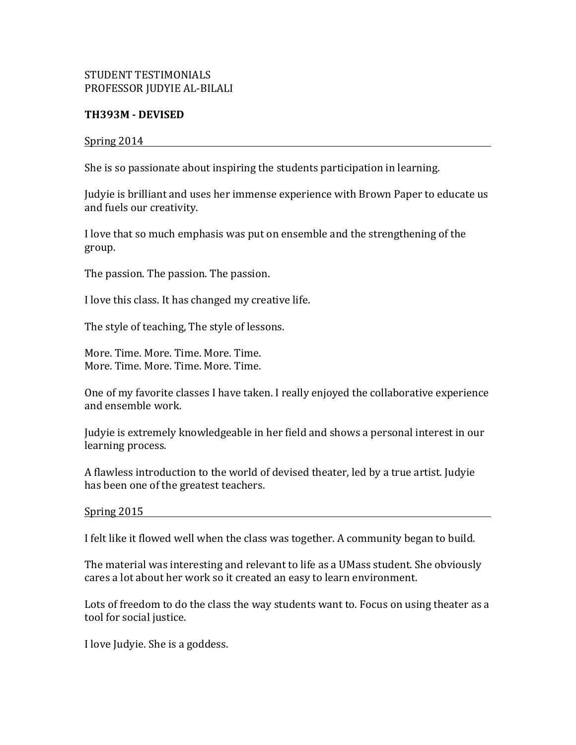## STUDENT TESTIMONIALS PROFESSOR JUDYIE AL-BILALI

## **TH393M - DEVISED**

## Spring 2014

She is so passionate about inspiring the students participation in learning.

Judyie is brilliant and uses her immense experience with Brown Paper to educate us and fuels our creativity.

I love that so much emphasis was put on ensemble and the strengthening of the group.

The passion. The passion. The passion.

I love this class. It has changed my creative life.

The style of teaching, The style of lessons.

More. Time. More. Time. More. Time. More. Time. More. Time. More. Time.

One of my favorite classes I have taken. I really enjoyed the collaborative experience and ensemble work.

Judyie is extremely knowledgeable in her field and shows a personal interest in our learning process.

A flawless introduction to the world of devised theater, led by a true artist. Judyie has been one of the greatest teachers.

 $Spring 2015$ 

I felt like it flowed well when the class was together. A community began to build.

The material was interesting and relevant to life as a UMass student. She obviously cares a lot about her work so it created an easy to learn environment.

Lots of freedom to do the class the way students want to. Focus on using theater as a tool for social justice.

I love Judyie. She is a goddess.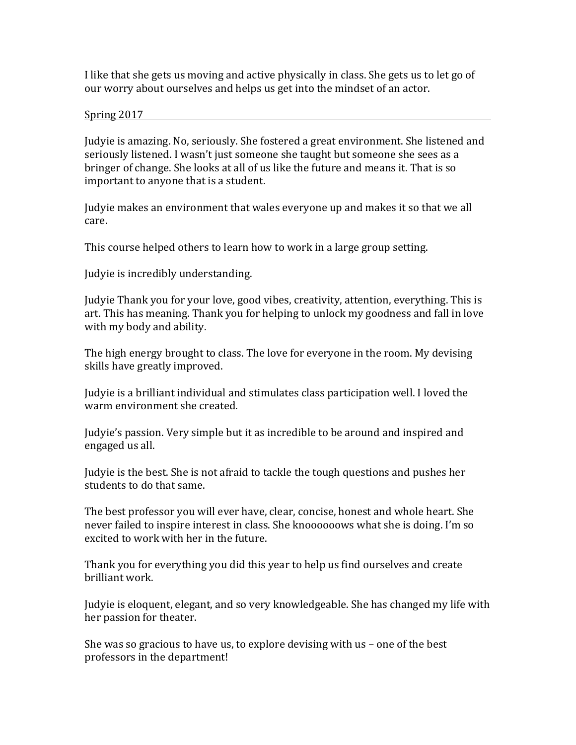I like that she gets us moving and active physically in class. She gets us to let go of our worry about ourselves and helps us get into the mindset of an actor.

Spring 2017

Judyie is amazing. No, seriously. She fostered a great environment. She listened and seriously listened. I wasn't just someone she taught but someone she sees as a bringer of change. She looks at all of us like the future and means it. That is so important to anyone that is a student.

Judyie makes an environment that wales everyone up and makes it so that we all care.

This course helped others to learn how to work in a large group setting.

Judyie is incredibly understanding.

Judyie Thank you for your love, good vibes, creativity, attention, everything. This is art. This has meaning. Thank you for helping to unlock my goodness and fall in love with my body and ability.

The high energy brought to class. The love for everyone in the room. My devising skills have greatly improved.

Judyie is a brilliant individual and stimulates class participation well. I loved the warm environment she created.

Judyie's passion. Very simple but it as incredible to be around and inspired and engaged us all.

Judyie is the best. She is not afraid to tackle the tough questions and pushes her students to do that same.

The best professor you will ever have, clear, concise, honest and whole heart. She never failed to inspire interest in class. She knoooooows what she is doing. I'm so excited to work with her in the future.

Thank you for everything you did this year to help us find ourselves and create brilliant work.

Judyie is eloquent, elegant, and so very knowledgeable. She has changed my life with her passion for theater.

She was so gracious to have us, to explore devising with  $us$  – one of the best professors in the department!